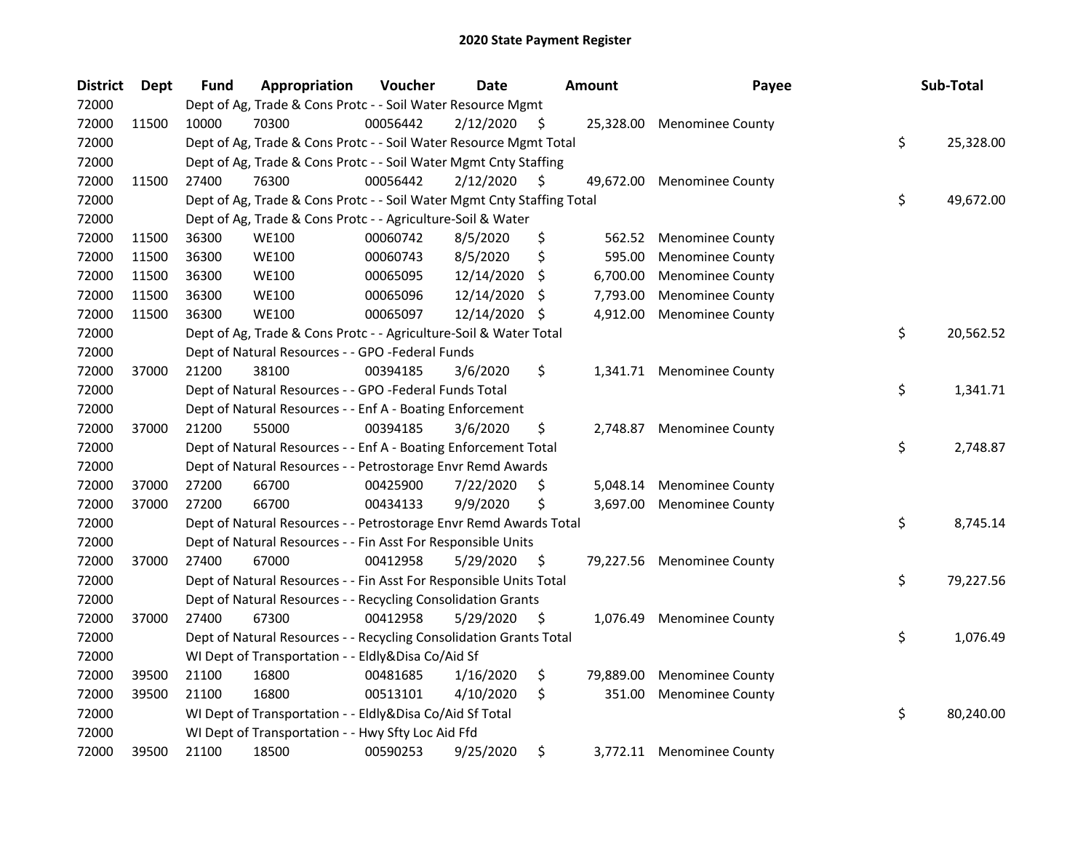| <b>District</b> | <b>Dept</b> | <b>Fund</b> | Appropriation                                                          | Voucher  | <b>Date</b> |     | Amount    | Payee                      | Sub-Total       |
|-----------------|-------------|-------------|------------------------------------------------------------------------|----------|-------------|-----|-----------|----------------------------|-----------------|
| 72000           |             |             | Dept of Ag, Trade & Cons Protc - - Soil Water Resource Mgmt            |          |             |     |           |                            |                 |
| 72000           | 11500       | 10000       | 70300                                                                  | 00056442 | 2/12/2020   | - S | 25,328.00 | <b>Menominee County</b>    |                 |
| 72000           |             |             | Dept of Ag, Trade & Cons Protc - - Soil Water Resource Mgmt Total      |          |             |     |           |                            | \$<br>25,328.00 |
| 72000           |             |             | Dept of Ag, Trade & Cons Protc - - Soil Water Mgmt Cnty Staffing       |          |             |     |           |                            |                 |
| 72000           | 11500       | 27400       | 76300                                                                  | 00056442 | 2/12/2020   | S   | 49,672.00 | <b>Menominee County</b>    |                 |
| 72000           |             |             | Dept of Ag, Trade & Cons Protc - - Soil Water Mgmt Cnty Staffing Total |          |             |     |           |                            | \$<br>49,672.00 |
| 72000           |             |             | Dept of Ag, Trade & Cons Protc - - Agriculture-Soil & Water            |          |             |     |           |                            |                 |
| 72000           | 11500       | 36300       | <b>WE100</b>                                                           | 00060742 | 8/5/2020    | \$  | 562.52    | <b>Menominee County</b>    |                 |
| 72000           | 11500       | 36300       | <b>WE100</b>                                                           | 00060743 | 8/5/2020    | \$  | 595.00    | <b>Menominee County</b>    |                 |
| 72000           | 11500       | 36300       | <b>WE100</b>                                                           | 00065095 | 12/14/2020  | \$  | 6,700.00  | <b>Menominee County</b>    |                 |
| 72000           | 11500       | 36300       | <b>WE100</b>                                                           | 00065096 | 12/14/2020  | \$, | 7,793.00  | <b>Menominee County</b>    |                 |
| 72000           | 11500       | 36300       | <b>WE100</b>                                                           | 00065097 | 12/14/2020  | S   | 4,912.00  | <b>Menominee County</b>    |                 |
| 72000           |             |             | Dept of Ag, Trade & Cons Protc - - Agriculture-Soil & Water Total      |          |             |     |           |                            | \$<br>20,562.52 |
| 72000           |             |             | Dept of Natural Resources - - GPO -Federal Funds                       |          |             |     |           |                            |                 |
| 72000           | 37000       | 21200       | 38100                                                                  | 00394185 | 3/6/2020    | \$  | 1,341.71  | <b>Menominee County</b>    |                 |
| 72000           |             |             | Dept of Natural Resources - - GPO -Federal Funds Total                 |          |             |     |           |                            | \$<br>1,341.71  |
| 72000           |             |             | Dept of Natural Resources - - Enf A - Boating Enforcement              |          |             |     |           |                            |                 |
| 72000           | 37000       | 21200       | 55000                                                                  | 00394185 | 3/6/2020    | \$  | 2,748.87  | <b>Menominee County</b>    |                 |
| 72000           |             |             | Dept of Natural Resources - - Enf A - Boating Enforcement Total        |          |             |     |           |                            | \$<br>2,748.87  |
| 72000           |             |             | Dept of Natural Resources - - Petrostorage Envr Remd Awards            |          |             |     |           |                            |                 |
| 72000           | 37000       | 27200       | 66700                                                                  | 00425900 | 7/22/2020   | \$  | 5,048.14  | <b>Menominee County</b>    |                 |
| 72000           | 37000       | 27200       | 66700                                                                  | 00434133 | 9/9/2020    | \$  | 3,697.00  | <b>Menominee County</b>    |                 |
| 72000           |             |             | Dept of Natural Resources - - Petrostorage Envr Remd Awards Total      |          |             |     |           |                            | \$<br>8,745.14  |
| 72000           |             |             | Dept of Natural Resources - - Fin Asst For Responsible Units           |          |             |     |           |                            |                 |
| 72000           | 37000       | 27400       | 67000                                                                  | 00412958 | 5/29/2020   | \$, |           | 79,227.56 Menominee County |                 |
| 72000           |             |             | Dept of Natural Resources - - Fin Asst For Responsible Units Total     |          |             |     |           |                            | \$<br>79,227.56 |
| 72000           |             |             | Dept of Natural Resources - - Recycling Consolidation Grants           |          |             |     |           |                            |                 |
| 72000           | 37000       | 27400       | 67300                                                                  | 00412958 | 5/29/2020   | \$, | 1,076.49  | <b>Menominee County</b>    |                 |
| 72000           |             |             | Dept of Natural Resources - - Recycling Consolidation Grants Total     |          |             |     |           |                            | \$<br>1,076.49  |
| 72000           |             |             | WI Dept of Transportation - - Eldly&Disa Co/Aid Sf                     |          |             |     |           |                            |                 |
| 72000           | 39500       | 21100       | 16800                                                                  | 00481685 | 1/16/2020   | \$  | 79,889.00 | <b>Menominee County</b>    |                 |
| 72000           | 39500       | 21100       | 16800                                                                  | 00513101 | 4/10/2020   | \$  | 351.00    | <b>Menominee County</b>    |                 |
| 72000           |             |             | WI Dept of Transportation - - Eldly&Disa Co/Aid Sf Total               |          |             |     |           |                            | \$<br>80,240.00 |
| 72000           |             |             | WI Dept of Transportation - - Hwy Sfty Loc Aid Ffd                     |          |             |     |           |                            |                 |
| 72000           | 39500       | 21100       | 18500                                                                  | 00590253 | 9/25/2020   | \$  |           | 3,772.11 Menominee County  |                 |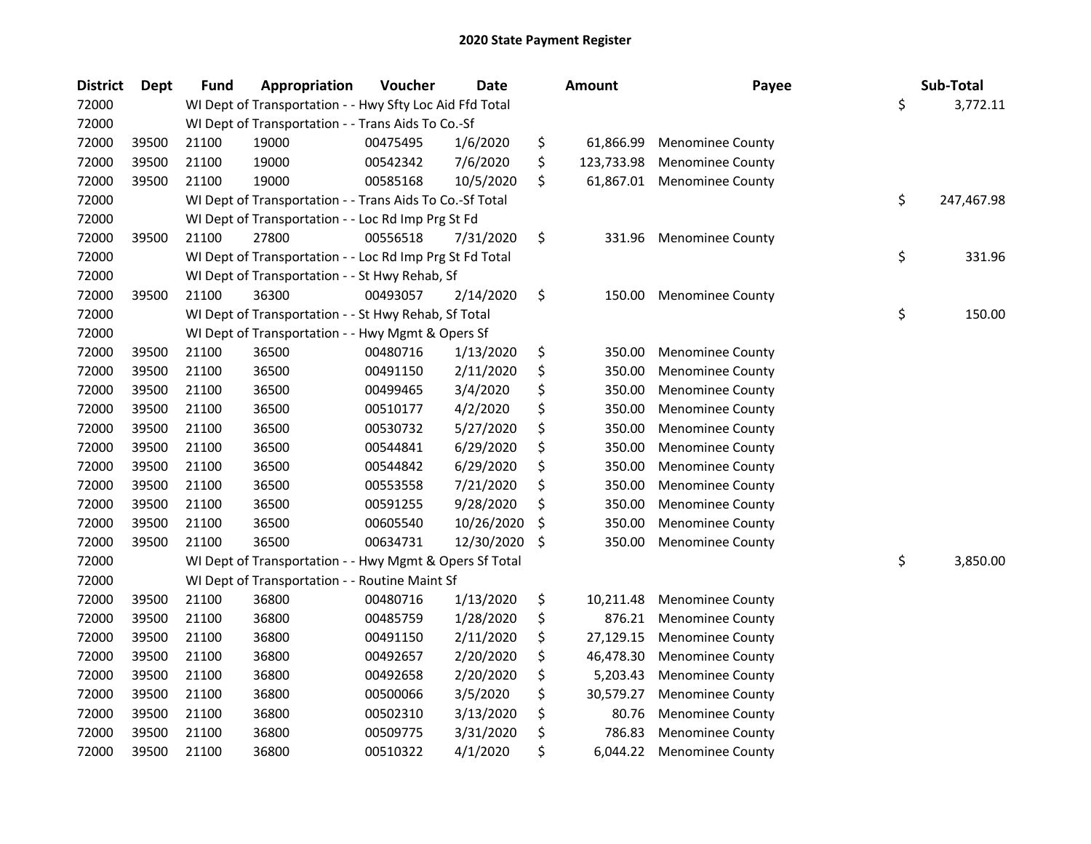| <b>District</b> | <b>Dept</b> | <b>Fund</b> | Appropriation                                            | Voucher  | <b>Date</b> | <b>Amount</b>    | Payee                   | Sub-Total        |
|-----------------|-------------|-------------|----------------------------------------------------------|----------|-------------|------------------|-------------------------|------------------|
| 72000           |             |             | WI Dept of Transportation - - Hwy Sfty Loc Aid Ffd Total |          |             |                  |                         | \$<br>3,772.11   |
| 72000           |             |             | WI Dept of Transportation - - Trans Aids To Co.-Sf       |          |             |                  |                         |                  |
| 72000           | 39500       | 21100       | 19000                                                    | 00475495 | 1/6/2020    | \$<br>61,866.99  | <b>Menominee County</b> |                  |
| 72000           | 39500       | 21100       | 19000                                                    | 00542342 | 7/6/2020    | \$<br>123,733.98 | <b>Menominee County</b> |                  |
| 72000           | 39500       | 21100       | 19000                                                    | 00585168 | 10/5/2020   | \$<br>61,867.01  | <b>Menominee County</b> |                  |
| 72000           |             |             | WI Dept of Transportation - - Trans Aids To Co.-Sf Total |          |             |                  |                         | \$<br>247,467.98 |
| 72000           |             |             | WI Dept of Transportation - - Loc Rd Imp Prg St Fd       |          |             |                  |                         |                  |
| 72000           | 39500       | 21100       | 27800                                                    | 00556518 | 7/31/2020   | \$<br>331.96     | <b>Menominee County</b> |                  |
| 72000           |             |             | WI Dept of Transportation - - Loc Rd Imp Prg St Fd Total |          |             |                  |                         | \$<br>331.96     |
| 72000           |             |             | WI Dept of Transportation - - St Hwy Rehab, Sf           |          |             |                  |                         |                  |
| 72000           | 39500       | 21100       | 36300                                                    | 00493057 | 2/14/2020   | \$<br>150.00     | Menominee County        |                  |
| 72000           |             |             | WI Dept of Transportation - - St Hwy Rehab, Sf Total     |          |             |                  |                         | \$<br>150.00     |
| 72000           |             |             | WI Dept of Transportation - - Hwy Mgmt & Opers Sf        |          |             |                  |                         |                  |
| 72000           | 39500       | 21100       | 36500                                                    | 00480716 | 1/13/2020   | \$<br>350.00     | <b>Menominee County</b> |                  |
| 72000           | 39500       | 21100       | 36500                                                    | 00491150 | 2/11/2020   | \$<br>350.00     | <b>Menominee County</b> |                  |
| 72000           | 39500       | 21100       | 36500                                                    | 00499465 | 3/4/2020    | \$<br>350.00     | <b>Menominee County</b> |                  |
| 72000           | 39500       | 21100       | 36500                                                    | 00510177 | 4/2/2020    | \$<br>350.00     | <b>Menominee County</b> |                  |
| 72000           | 39500       | 21100       | 36500                                                    | 00530732 | 5/27/2020   | \$<br>350.00     | <b>Menominee County</b> |                  |
| 72000           | 39500       | 21100       | 36500                                                    | 00544841 | 6/29/2020   | \$<br>350.00     | <b>Menominee County</b> |                  |
| 72000           | 39500       | 21100       | 36500                                                    | 00544842 | 6/29/2020   | \$<br>350.00     | <b>Menominee County</b> |                  |
| 72000           | 39500       | 21100       | 36500                                                    | 00553558 | 7/21/2020   | \$<br>350.00     | <b>Menominee County</b> |                  |
| 72000           | 39500       | 21100       | 36500                                                    | 00591255 | 9/28/2020   | \$<br>350.00     | <b>Menominee County</b> |                  |
| 72000           | 39500       | 21100       | 36500                                                    | 00605540 | 10/26/2020  | \$<br>350.00     | <b>Menominee County</b> |                  |
| 72000           | 39500       | 21100       | 36500                                                    | 00634731 | 12/30/2020  | \$<br>350.00     | <b>Menominee County</b> |                  |
| 72000           |             |             | WI Dept of Transportation - - Hwy Mgmt & Opers Sf Total  |          |             |                  |                         | \$<br>3,850.00   |
| 72000           |             |             | WI Dept of Transportation - - Routine Maint Sf           |          |             |                  |                         |                  |
| 72000           | 39500       | 21100       | 36800                                                    | 00480716 | 1/13/2020   | \$<br>10,211.48  | <b>Menominee County</b> |                  |
| 72000           | 39500       | 21100       | 36800                                                    | 00485759 | 1/28/2020   | \$<br>876.21     | <b>Menominee County</b> |                  |
| 72000           | 39500       | 21100       | 36800                                                    | 00491150 | 2/11/2020   | \$<br>27,129.15  | <b>Menominee County</b> |                  |
| 72000           | 39500       | 21100       | 36800                                                    | 00492657 | 2/20/2020   | \$<br>46,478.30  | <b>Menominee County</b> |                  |
| 72000           | 39500       | 21100       | 36800                                                    | 00492658 | 2/20/2020   | \$<br>5,203.43   | <b>Menominee County</b> |                  |
| 72000           | 39500       | 21100       | 36800                                                    | 00500066 | 3/5/2020    | \$<br>30,579.27  | <b>Menominee County</b> |                  |
| 72000           | 39500       | 21100       | 36800                                                    | 00502310 | 3/13/2020   | \$<br>80.76      | <b>Menominee County</b> |                  |
| 72000           | 39500       | 21100       | 36800                                                    | 00509775 | 3/31/2020   | \$<br>786.83     | <b>Menominee County</b> |                  |
| 72000           | 39500       | 21100       | 36800                                                    | 00510322 | 4/1/2020    | \$<br>6,044.22   | <b>Menominee County</b> |                  |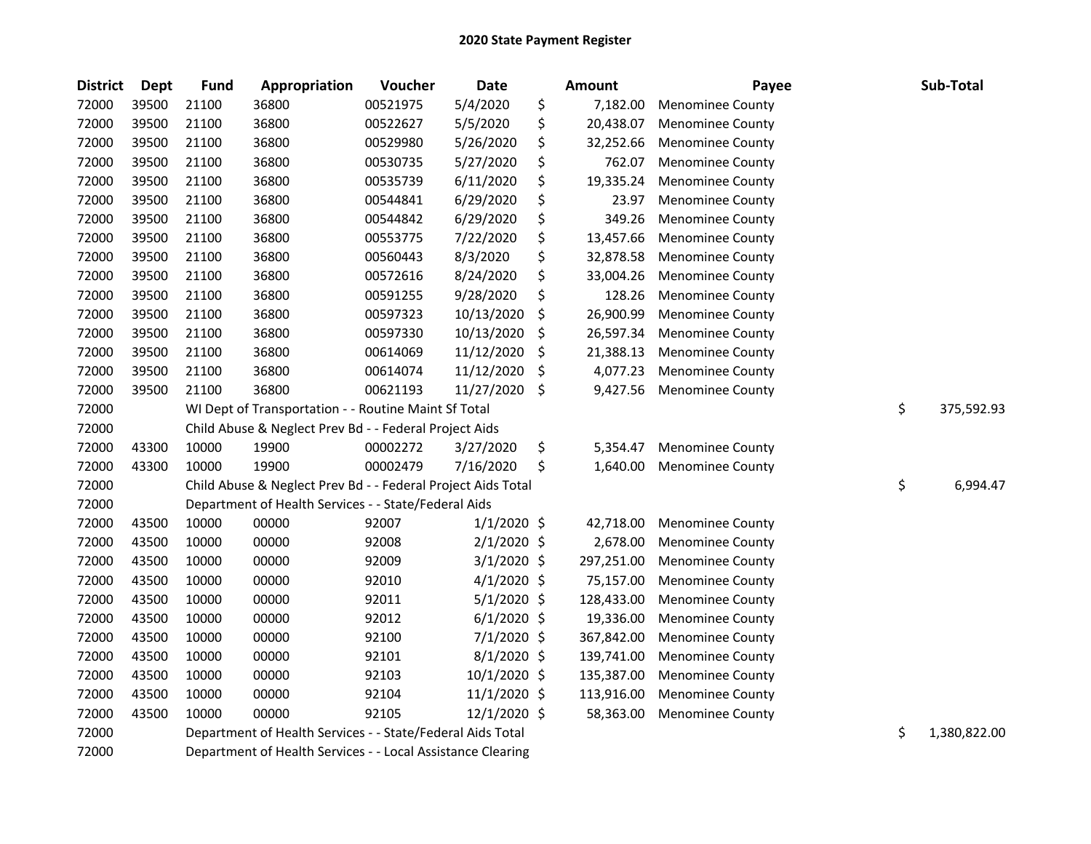| <b>District</b> | Dept  | <b>Fund</b> | Appropriation                                                | Voucher  | Date          |     | <b>Amount</b> | Payee                   | Sub-Total          |
|-----------------|-------|-------------|--------------------------------------------------------------|----------|---------------|-----|---------------|-------------------------|--------------------|
| 72000           | 39500 | 21100       | 36800                                                        | 00521975 | 5/4/2020      | \$  | 7,182.00      | Menominee County        |                    |
| 72000           | 39500 | 21100       | 36800                                                        | 00522627 | 5/5/2020      | \$  | 20,438.07     | <b>Menominee County</b> |                    |
| 72000           | 39500 | 21100       | 36800                                                        | 00529980 | 5/26/2020     | \$  | 32,252.66     | <b>Menominee County</b> |                    |
| 72000           | 39500 | 21100       | 36800                                                        | 00530735 | 5/27/2020     | \$  | 762.07        | <b>Menominee County</b> |                    |
| 72000           | 39500 | 21100       | 36800                                                        | 00535739 | 6/11/2020     | \$  | 19,335.24     | <b>Menominee County</b> |                    |
| 72000           | 39500 | 21100       | 36800                                                        | 00544841 | 6/29/2020     | \$  | 23.97         | <b>Menominee County</b> |                    |
| 72000           | 39500 | 21100       | 36800                                                        | 00544842 | 6/29/2020     | \$  | 349.26        | <b>Menominee County</b> |                    |
| 72000           | 39500 | 21100       | 36800                                                        | 00553775 | 7/22/2020     | \$  | 13,457.66     | <b>Menominee County</b> |                    |
| 72000           | 39500 | 21100       | 36800                                                        | 00560443 | 8/3/2020      | \$  | 32,878.58     | Menominee County        |                    |
| 72000           | 39500 | 21100       | 36800                                                        | 00572616 | 8/24/2020     | \$  | 33,004.26     | <b>Menominee County</b> |                    |
| 72000           | 39500 | 21100       | 36800                                                        | 00591255 | 9/28/2020     | \$  | 128.26        | <b>Menominee County</b> |                    |
| 72000           | 39500 | 21100       | 36800                                                        | 00597323 | 10/13/2020    | \$  | 26,900.99     | <b>Menominee County</b> |                    |
| 72000           | 39500 | 21100       | 36800                                                        | 00597330 | 10/13/2020    | \$  | 26,597.34     | <b>Menominee County</b> |                    |
| 72000           | 39500 | 21100       | 36800                                                        | 00614069 | 11/12/2020    | \$  | 21,388.13     | <b>Menominee County</b> |                    |
| 72000           | 39500 | 21100       | 36800                                                        | 00614074 | 11/12/2020    | \$  | 4,077.23      | <b>Menominee County</b> |                    |
| 72000           | 39500 | 21100       | 36800                                                        | 00621193 | 11/27/2020    | -\$ | 9,427.56      | <b>Menominee County</b> |                    |
| 72000           |       |             | WI Dept of Transportation - - Routine Maint Sf Total         |          |               |     |               |                         | \$<br>375,592.93   |
| 72000           |       |             | Child Abuse & Neglect Prev Bd - - Federal Project Aids       |          |               |     |               |                         |                    |
| 72000           | 43300 | 10000       | 19900                                                        | 00002272 | 3/27/2020     | \$  | 5,354.47      | <b>Menominee County</b> |                    |
| 72000           | 43300 | 10000       | 19900                                                        | 00002479 | 7/16/2020     | \$  | 1,640.00      | <b>Menominee County</b> |                    |
| 72000           |       |             | Child Abuse & Neglect Prev Bd - - Federal Project Aids Total |          |               |     |               |                         | \$<br>6,994.47     |
| 72000           |       |             | Department of Health Services - - State/Federal Aids         |          |               |     |               |                         |                    |
| 72000           | 43500 | 10000       | 00000                                                        | 92007    | $1/1/2020$ \$ |     | 42,718.00     | <b>Menominee County</b> |                    |
| 72000           | 43500 | 10000       | 00000                                                        | 92008    | $2/1/2020$ \$ |     | 2,678.00      | <b>Menominee County</b> |                    |
| 72000           | 43500 | 10000       | 00000                                                        | 92009    | $3/1/2020$ \$ |     | 297,251.00    | <b>Menominee County</b> |                    |
| 72000           | 43500 | 10000       | 00000                                                        | 92010    | $4/1/2020$ \$ |     | 75,157.00     | <b>Menominee County</b> |                    |
| 72000           | 43500 | 10000       | 00000                                                        | 92011    | 5/1/2020 \$   |     | 128,433.00    | <b>Menominee County</b> |                    |
| 72000           | 43500 | 10000       | 00000                                                        | 92012    | $6/1/2020$ \$ |     | 19,336.00     | <b>Menominee County</b> |                    |
| 72000           | 43500 | 10000       | 00000                                                        | 92100    | $7/1/2020$ \$ |     | 367,842.00    | <b>Menominee County</b> |                    |
| 72000           | 43500 | 10000       | 00000                                                        | 92101    | 8/1/2020 \$   |     | 139,741.00    | <b>Menominee County</b> |                    |
| 72000           | 43500 | 10000       | 00000                                                        | 92103    | 10/1/2020 \$  |     | 135,387.00    | Menominee County        |                    |
| 72000           | 43500 | 10000       | 00000                                                        | 92104    | 11/1/2020 \$  |     | 113,916.00    | <b>Menominee County</b> |                    |
| 72000           | 43500 | 10000       | 00000                                                        | 92105    | 12/1/2020 \$  |     | 58,363.00     | <b>Menominee County</b> |                    |
| 72000           |       |             | Department of Health Services - - State/Federal Aids Total   |          |               |     |               |                         | \$<br>1,380,822.00 |
| 72000           |       |             | Department of Health Services - - Local Assistance Clearing  |          |               |     |               |                         |                    |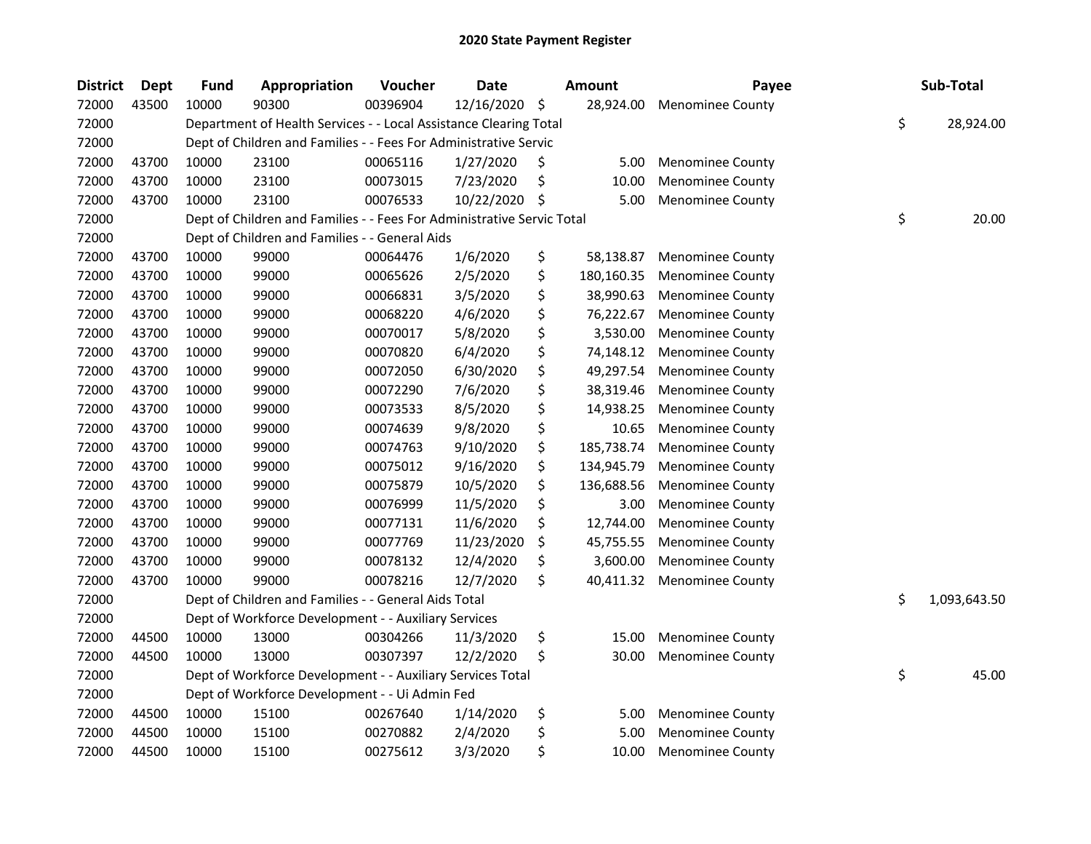| <b>District</b> | <b>Dept</b> | <b>Fund</b> | Appropriation                                                          | Voucher  | <b>Date</b> | <b>Amount</b>    | Payee                   | Sub-Total          |
|-----------------|-------------|-------------|------------------------------------------------------------------------|----------|-------------|------------------|-------------------------|--------------------|
| 72000           | 43500       | 10000       | 90300                                                                  | 00396904 | 12/16/2020  | \$<br>28,924.00  | <b>Menominee County</b> |                    |
| 72000           |             |             | Department of Health Services - - Local Assistance Clearing Total      |          |             |                  |                         | \$<br>28,924.00    |
| 72000           |             |             | Dept of Children and Families - - Fees For Administrative Servic       |          |             |                  |                         |                    |
| 72000           | 43700       | 10000       | 23100                                                                  | 00065116 | 1/27/2020   | \$<br>5.00       | <b>Menominee County</b> |                    |
| 72000           | 43700       | 10000       | 23100                                                                  | 00073015 | 7/23/2020   | \$<br>10.00      | <b>Menominee County</b> |                    |
| 72000           | 43700       | 10000       | 23100                                                                  | 00076533 | 10/22/2020  | \$<br>5.00       | <b>Menominee County</b> |                    |
| 72000           |             |             | Dept of Children and Families - - Fees For Administrative Servic Total |          |             |                  |                         | \$<br>20.00        |
| 72000           |             |             | Dept of Children and Families - - General Aids                         |          |             |                  |                         |                    |
| 72000           | 43700       | 10000       | 99000                                                                  | 00064476 | 1/6/2020    | \$<br>58,138.87  | <b>Menominee County</b> |                    |
| 72000           | 43700       | 10000       | 99000                                                                  | 00065626 | 2/5/2020    | \$<br>180,160.35 | <b>Menominee County</b> |                    |
| 72000           | 43700       | 10000       | 99000                                                                  | 00066831 | 3/5/2020    | \$<br>38,990.63  | <b>Menominee County</b> |                    |
| 72000           | 43700       | 10000       | 99000                                                                  | 00068220 | 4/6/2020    | \$<br>76,222.67  | <b>Menominee County</b> |                    |
| 72000           | 43700       | 10000       | 99000                                                                  | 00070017 | 5/8/2020    | \$<br>3,530.00   | <b>Menominee County</b> |                    |
| 72000           | 43700       | 10000       | 99000                                                                  | 00070820 | 6/4/2020    | \$<br>74,148.12  | Menominee County        |                    |
| 72000           | 43700       | 10000       | 99000                                                                  | 00072050 | 6/30/2020   | \$<br>49,297.54  | <b>Menominee County</b> |                    |
| 72000           | 43700       | 10000       | 99000                                                                  | 00072290 | 7/6/2020    | \$<br>38,319.46  | <b>Menominee County</b> |                    |
| 72000           | 43700       | 10000       | 99000                                                                  | 00073533 | 8/5/2020    | \$<br>14,938.25  | <b>Menominee County</b> |                    |
| 72000           | 43700       | 10000       | 99000                                                                  | 00074639 | 9/8/2020    | \$<br>10.65      | <b>Menominee County</b> |                    |
| 72000           | 43700       | 10000       | 99000                                                                  | 00074763 | 9/10/2020   | \$<br>185,738.74 | Menominee County        |                    |
| 72000           | 43700       | 10000       | 99000                                                                  | 00075012 | 9/16/2020   | \$<br>134,945.79 | Menominee County        |                    |
| 72000           | 43700       | 10000       | 99000                                                                  | 00075879 | 10/5/2020   | \$<br>136,688.56 | <b>Menominee County</b> |                    |
| 72000           | 43700       | 10000       | 99000                                                                  | 00076999 | 11/5/2020   | \$<br>3.00       | <b>Menominee County</b> |                    |
| 72000           | 43700       | 10000       | 99000                                                                  | 00077131 | 11/6/2020   | \$<br>12,744.00  | <b>Menominee County</b> |                    |
| 72000           | 43700       | 10000       | 99000                                                                  | 00077769 | 11/23/2020  | \$<br>45,755.55  | <b>Menominee County</b> |                    |
| 72000           | 43700       | 10000       | 99000                                                                  | 00078132 | 12/4/2020   | \$<br>3,600.00   | <b>Menominee County</b> |                    |
| 72000           | 43700       | 10000       | 99000                                                                  | 00078216 | 12/7/2020   | \$<br>40,411.32  | <b>Menominee County</b> |                    |
| 72000           |             |             | Dept of Children and Families - - General Aids Total                   |          |             |                  |                         | \$<br>1,093,643.50 |
| 72000           |             |             | Dept of Workforce Development - - Auxiliary Services                   |          |             |                  |                         |                    |
| 72000           | 44500       | 10000       | 13000                                                                  | 00304266 | 11/3/2020   | \$<br>15.00      | <b>Menominee County</b> |                    |
| 72000           | 44500       | 10000       | 13000                                                                  | 00307397 | 12/2/2020   | \$<br>30.00      | <b>Menominee County</b> |                    |
| 72000           |             |             | Dept of Workforce Development - - Auxiliary Services Total             |          |             |                  |                         | \$<br>45.00        |
| 72000           |             |             | Dept of Workforce Development - - Ui Admin Fed                         |          |             |                  |                         |                    |
| 72000           | 44500       | 10000       | 15100                                                                  | 00267640 | 1/14/2020   | \$<br>5.00       | <b>Menominee County</b> |                    |
| 72000           | 44500       | 10000       | 15100                                                                  | 00270882 | 2/4/2020    | \$<br>5.00       | <b>Menominee County</b> |                    |
| 72000           | 44500       | 10000       | 15100                                                                  | 00275612 | 3/3/2020    | \$<br>10.00      | Menominee County        |                    |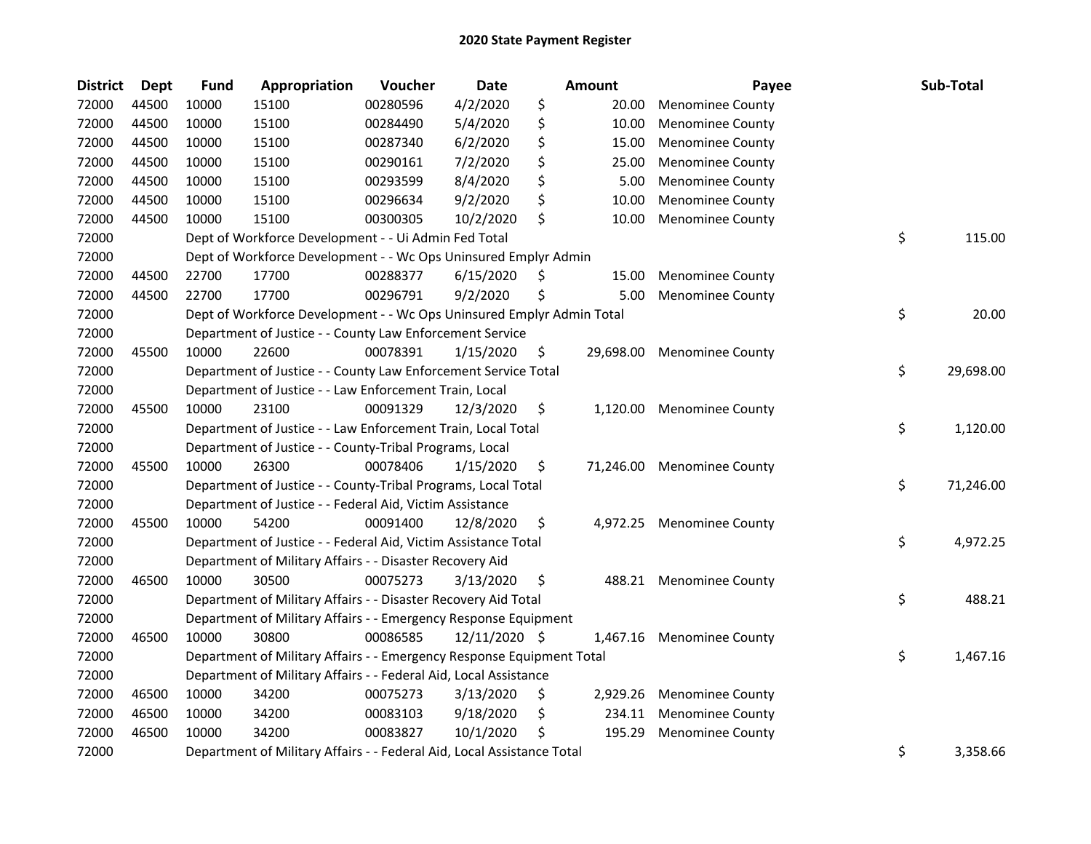| <b>District</b> | <b>Dept</b> | <b>Fund</b> | Appropriation                                                          | Voucher  | <b>Date</b>   |    | Amount    | Payee                   | Sub-Total       |
|-----------------|-------------|-------------|------------------------------------------------------------------------|----------|---------------|----|-----------|-------------------------|-----------------|
| 72000           | 44500       | 10000       | 15100                                                                  | 00280596 | 4/2/2020      | \$ | 20.00     | <b>Menominee County</b> |                 |
| 72000           | 44500       | 10000       | 15100                                                                  | 00284490 | 5/4/2020      | \$ | 10.00     | <b>Menominee County</b> |                 |
| 72000           | 44500       | 10000       | 15100                                                                  | 00287340 | 6/2/2020      | \$ | 15.00     | <b>Menominee County</b> |                 |
| 72000           | 44500       | 10000       | 15100                                                                  | 00290161 | 7/2/2020      | \$ | 25.00     | <b>Menominee County</b> |                 |
| 72000           | 44500       | 10000       | 15100                                                                  | 00293599 | 8/4/2020      | \$ | 5.00      | <b>Menominee County</b> |                 |
| 72000           | 44500       | 10000       | 15100                                                                  | 00296634 | 9/2/2020      | \$ | 10.00     | <b>Menominee County</b> |                 |
| 72000           | 44500       | 10000       | 15100                                                                  | 00300305 | 10/2/2020     | \$ | 10.00     | <b>Menominee County</b> |                 |
| 72000           |             |             | Dept of Workforce Development - - Ui Admin Fed Total                   |          |               |    |           |                         | \$<br>115.00    |
| 72000           |             |             | Dept of Workforce Development - - Wc Ops Uninsured Emplyr Admin        |          |               |    |           |                         |                 |
| 72000           | 44500       | 22700       | 17700                                                                  | 00288377 | 6/15/2020     | Ş  | 15.00     | <b>Menominee County</b> |                 |
| 72000           | 44500       | 22700       | 17700                                                                  | 00296791 | 9/2/2020      | \$ | 5.00      | <b>Menominee County</b> |                 |
| 72000           |             |             | Dept of Workforce Development - - Wc Ops Uninsured Emplyr Admin Total  |          |               |    |           |                         | \$<br>20.00     |
| 72000           |             |             | Department of Justice - - County Law Enforcement Service               |          |               |    |           |                         |                 |
| 72000           | 45500       | 10000       | 22600                                                                  | 00078391 | 1/15/2020     | \$ | 29,698.00 | <b>Menominee County</b> |                 |
| 72000           |             |             | Department of Justice - - County Law Enforcement Service Total         |          |               |    |           |                         | \$<br>29,698.00 |
| 72000           |             |             | Department of Justice - - Law Enforcement Train, Local                 |          |               |    |           |                         |                 |
| 72000           | 45500       | 10000       | 23100                                                                  | 00091329 | 12/3/2020     | \$ | 1,120.00  | <b>Menominee County</b> |                 |
| 72000           |             |             | Department of Justice - - Law Enforcement Train, Local Total           |          |               |    |           |                         | \$<br>1,120.00  |
| 72000           |             |             | Department of Justice - - County-Tribal Programs, Local                |          |               |    |           |                         |                 |
| 72000           | 45500       | 10000       | 26300                                                                  | 00078406 | 1/15/2020     | \$ | 71,246.00 | <b>Menominee County</b> |                 |
| 72000           |             |             | Department of Justice - - County-Tribal Programs, Local Total          |          |               |    |           |                         | \$<br>71,246.00 |
| 72000           |             |             | Department of Justice - - Federal Aid, Victim Assistance               |          |               |    |           |                         |                 |
| 72000           | 45500       | 10000       | 54200                                                                  | 00091400 | 12/8/2020     | \$ | 4,972.25  | <b>Menominee County</b> |                 |
| 72000           |             |             | Department of Justice - - Federal Aid, Victim Assistance Total         |          |               |    |           |                         | \$<br>4,972.25  |
| 72000           |             |             | Department of Military Affairs - - Disaster Recovery Aid               |          |               |    |           |                         |                 |
| 72000           | 46500       | 10000       | 30500                                                                  | 00075273 | 3/13/2020     | \$ |           | 488.21 Menominee County |                 |
| 72000           |             |             | Department of Military Affairs - - Disaster Recovery Aid Total         |          |               |    |           |                         | \$<br>488.21    |
| 72000           |             |             | Department of Military Affairs - - Emergency Response Equipment        |          |               |    |           |                         |                 |
| 72000           | 46500       | 10000       | 30800                                                                  | 00086585 | 12/11/2020 \$ |    | 1,467.16  | <b>Menominee County</b> |                 |
| 72000           |             |             | Department of Military Affairs - - Emergency Response Equipment Total  |          |               |    |           |                         | \$<br>1,467.16  |
| 72000           |             |             | Department of Military Affairs - - Federal Aid, Local Assistance       |          |               |    |           |                         |                 |
| 72000           | 46500       | 10000       | 34200                                                                  | 00075273 | 3/13/2020     | \$ | 2,929.26  | <b>Menominee County</b> |                 |
| 72000           | 46500       | 10000       | 34200                                                                  | 00083103 | 9/18/2020     | \$ | 234.11    | <b>Menominee County</b> |                 |
| 72000           | 46500       | 10000       | 34200                                                                  | 00083827 | 10/1/2020     | \$ | 195.29    | <b>Menominee County</b> |                 |
| 72000           |             |             | Department of Military Affairs - - Federal Aid, Local Assistance Total |          |               |    |           |                         | \$<br>3,358.66  |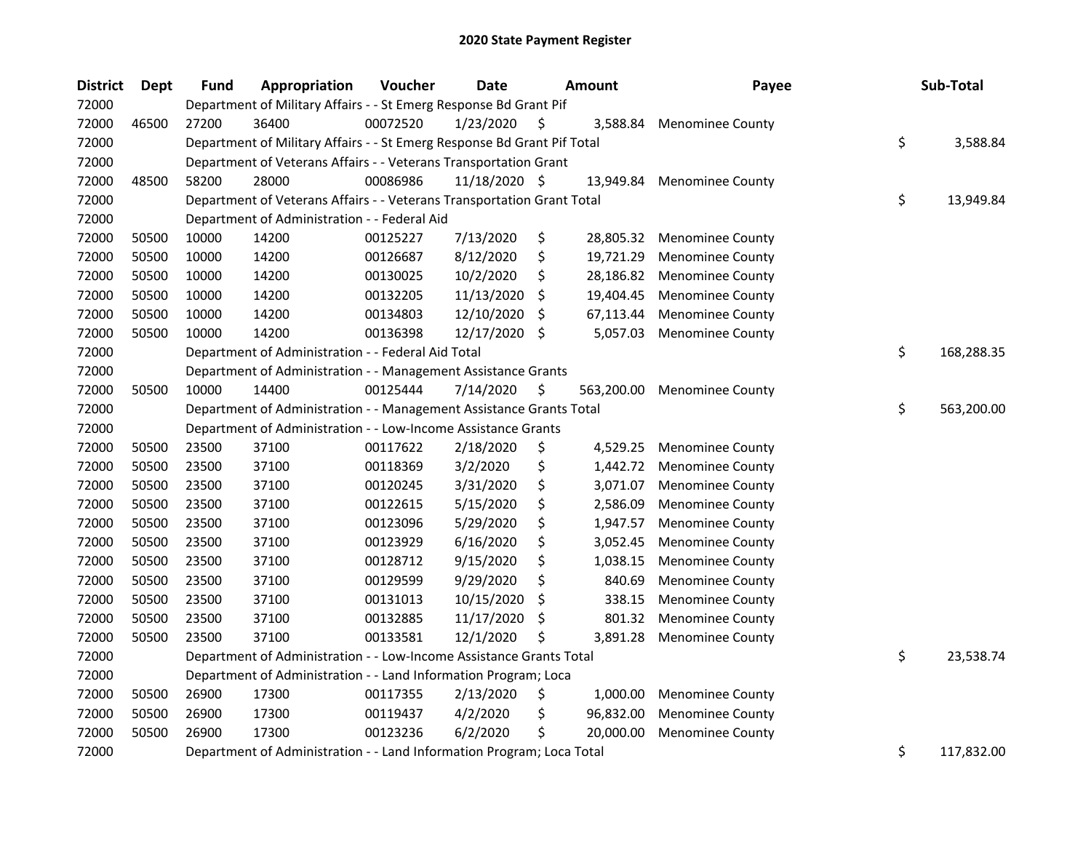| <b>District</b> | Dept  | <b>Fund</b> | Appropriation                                                           | Voucher  | <b>Date</b>   | <b>Amount</b>    | Payee                   | Sub-Total        |
|-----------------|-------|-------------|-------------------------------------------------------------------------|----------|---------------|------------------|-------------------------|------------------|
| 72000           |       |             | Department of Military Affairs - - St Emerg Response Bd Grant Pif       |          |               |                  |                         |                  |
| 72000           | 46500 | 27200       | 36400                                                                   | 00072520 | 1/23/2020     | \$<br>3,588.84   | <b>Menominee County</b> |                  |
| 72000           |       |             | Department of Military Affairs - - St Emerg Response Bd Grant Pif Total |          |               |                  |                         | \$<br>3,588.84   |
| 72000           |       |             | Department of Veterans Affairs - - Veterans Transportation Grant        |          |               |                  |                         |                  |
| 72000           | 48500 | 58200       | 28000                                                                   | 00086986 | 11/18/2020 \$ | 13,949.84        | <b>Menominee County</b> |                  |
| 72000           |       |             | Department of Veterans Affairs - - Veterans Transportation Grant Total  |          |               |                  |                         | \$<br>13,949.84  |
| 72000           |       |             | Department of Administration - - Federal Aid                            |          |               |                  |                         |                  |
| 72000           | 50500 | 10000       | 14200                                                                   | 00125227 | 7/13/2020     | \$<br>28,805.32  | <b>Menominee County</b> |                  |
| 72000           | 50500 | 10000       | 14200                                                                   | 00126687 | 8/12/2020     | \$<br>19,721.29  | <b>Menominee County</b> |                  |
| 72000           | 50500 | 10000       | 14200                                                                   | 00130025 | 10/2/2020     | \$<br>28,186.82  | <b>Menominee County</b> |                  |
| 72000           | 50500 | 10000       | 14200                                                                   | 00132205 | 11/13/2020    | \$<br>19,404.45  | <b>Menominee County</b> |                  |
| 72000           | 50500 | 10000       | 14200                                                                   | 00134803 | 12/10/2020    | \$<br>67,113.44  | <b>Menominee County</b> |                  |
| 72000           | 50500 | 10000       | 14200                                                                   | 00136398 | 12/17/2020    | \$<br>5,057.03   | <b>Menominee County</b> |                  |
| 72000           |       |             | Department of Administration - - Federal Aid Total                      |          |               |                  |                         | \$<br>168,288.35 |
| 72000           |       |             | Department of Administration - - Management Assistance Grants           |          |               |                  |                         |                  |
| 72000           | 50500 | 10000       | 14400                                                                   | 00125444 | 7/14/2020     | \$<br>563,200.00 | <b>Menominee County</b> |                  |
| 72000           |       |             | Department of Administration - - Management Assistance Grants Total     |          |               |                  |                         | \$<br>563,200.00 |
| 72000           |       |             | Department of Administration - - Low-Income Assistance Grants           |          |               |                  |                         |                  |
| 72000           | 50500 | 23500       | 37100                                                                   | 00117622 | 2/18/2020     | \$<br>4,529.25   | <b>Menominee County</b> |                  |
| 72000           | 50500 | 23500       | 37100                                                                   | 00118369 | 3/2/2020      | \$<br>1,442.72   | <b>Menominee County</b> |                  |
| 72000           | 50500 | 23500       | 37100                                                                   | 00120245 | 3/31/2020     | \$<br>3,071.07   | <b>Menominee County</b> |                  |
| 72000           | 50500 | 23500       | 37100                                                                   | 00122615 | 5/15/2020     | \$<br>2,586.09   | <b>Menominee County</b> |                  |
| 72000           | 50500 | 23500       | 37100                                                                   | 00123096 | 5/29/2020     | \$<br>1,947.57   | <b>Menominee County</b> |                  |
| 72000           | 50500 | 23500       | 37100                                                                   | 00123929 | 6/16/2020     | \$<br>3,052.45   | <b>Menominee County</b> |                  |
| 72000           | 50500 | 23500       | 37100                                                                   | 00128712 | 9/15/2020     | \$<br>1,038.15   | <b>Menominee County</b> |                  |
| 72000           | 50500 | 23500       | 37100                                                                   | 00129599 | 9/29/2020     | \$<br>840.69     | Menominee County        |                  |
| 72000           | 50500 | 23500       | 37100                                                                   | 00131013 | 10/15/2020    | \$<br>338.15     | <b>Menominee County</b> |                  |
| 72000           | 50500 | 23500       | 37100                                                                   | 00132885 | 11/17/2020    | \$<br>801.32     | <b>Menominee County</b> |                  |
| 72000           | 50500 | 23500       | 37100                                                                   | 00133581 | 12/1/2020     | \$<br>3,891.28   | <b>Menominee County</b> |                  |
| 72000           |       |             | Department of Administration - - Low-Income Assistance Grants Total     |          |               |                  |                         | \$<br>23,538.74  |
| 72000           |       |             | Department of Administration - - Land Information Program; Loca         |          |               |                  |                         |                  |
| 72000           | 50500 | 26900       | 17300                                                                   | 00117355 | 2/13/2020     | \$<br>1,000.00   | <b>Menominee County</b> |                  |
| 72000           | 50500 | 26900       | 17300                                                                   | 00119437 | 4/2/2020      | \$<br>96,832.00  | <b>Menominee County</b> |                  |
| 72000           | 50500 | 26900       | 17300                                                                   | 00123236 | 6/2/2020      | \$<br>20,000.00  | <b>Menominee County</b> |                  |
| 72000           |       |             | Department of Administration - - Land Information Program; Loca Total   |          |               |                  |                         | \$<br>117,832.00 |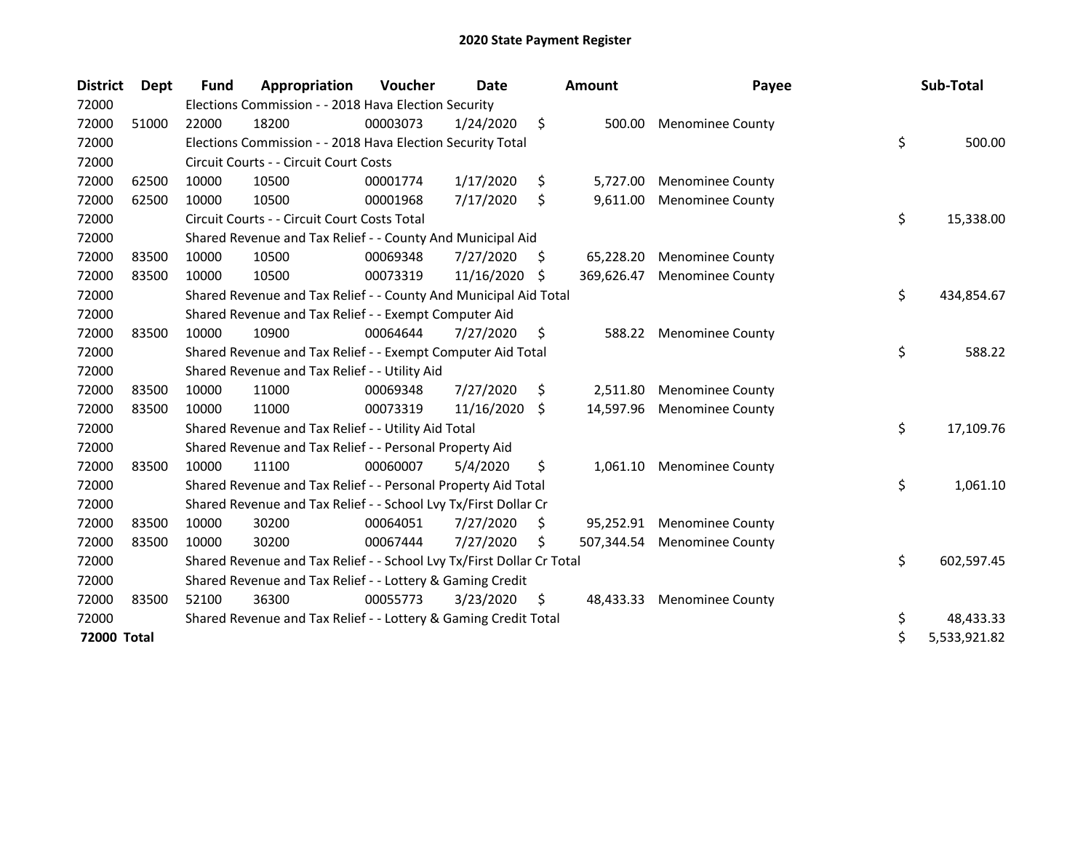| <b>District</b> | <b>Dept</b> | <b>Fund</b> | Appropriation                                                         | Voucher  | Date       |     | Amount     | Payee                   | Sub-Total          |
|-----------------|-------------|-------------|-----------------------------------------------------------------------|----------|------------|-----|------------|-------------------------|--------------------|
| 72000           |             |             | Elections Commission - - 2018 Hava Election Security                  |          |            |     |            |                         |                    |
| 72000           | 51000       | 22000       | 18200                                                                 | 00003073 | 1/24/2020  | \$  | 500.00     | <b>Menominee County</b> |                    |
| 72000           |             |             | Elections Commission - - 2018 Hava Election Security Total            |          |            |     |            |                         | \$<br>500.00       |
| 72000           |             |             | Circuit Courts - - Circuit Court Costs                                |          |            |     |            |                         |                    |
| 72000           | 62500       | 10000       | 10500                                                                 | 00001774 | 1/17/2020  | \$  | 5,727.00   | <b>Menominee County</b> |                    |
| 72000           | 62500       | 10000       | 10500                                                                 | 00001968 | 7/17/2020  | \$  | 9,611.00   | <b>Menominee County</b> |                    |
| 72000           |             |             | Circuit Courts - - Circuit Court Costs Total                          |          |            |     |            |                         | \$<br>15,338.00    |
| 72000           |             |             | Shared Revenue and Tax Relief - - County And Municipal Aid            |          |            |     |            |                         |                    |
| 72000           | 83500       | 10000       | 10500                                                                 | 00069348 | 7/27/2020  | \$  | 65,228.20  | <b>Menominee County</b> |                    |
| 72000           | 83500       | 10000       | 10500                                                                 | 00073319 | 11/16/2020 | -S  | 369,626.47 | <b>Menominee County</b> |                    |
| 72000           |             |             | Shared Revenue and Tax Relief - - County And Municipal Aid Total      |          |            |     |            |                         | \$<br>434,854.67   |
| 72000           |             |             | Shared Revenue and Tax Relief - - Exempt Computer Aid                 |          |            |     |            |                         |                    |
| 72000           | 83500       | 10000       | 10900                                                                 | 00064644 | 7/27/2020  | \$  | 588.22     | <b>Menominee County</b> |                    |
| 72000           |             |             | Shared Revenue and Tax Relief - - Exempt Computer Aid Total           |          |            |     |            |                         | \$<br>588.22       |
| 72000           |             |             | Shared Revenue and Tax Relief - - Utility Aid                         |          |            |     |            |                         |                    |
| 72000           | 83500       | 10000       | 11000                                                                 | 00069348 | 7/27/2020  | \$. | 2,511.80   | <b>Menominee County</b> |                    |
| 72000           | 83500       | 10000       | 11000                                                                 | 00073319 | 11/16/2020 | S.  | 14,597.96  | <b>Menominee County</b> |                    |
| 72000           |             |             | Shared Revenue and Tax Relief - - Utility Aid Total                   |          |            |     |            |                         | \$<br>17,109.76    |
| 72000           |             |             | Shared Revenue and Tax Relief - - Personal Property Aid               |          |            |     |            |                         |                    |
| 72000           | 83500       | 10000       | 11100                                                                 | 00060007 | 5/4/2020   | \$  | 1,061.10   | <b>Menominee County</b> |                    |
| 72000           |             |             | Shared Revenue and Tax Relief - - Personal Property Aid Total         |          |            |     |            |                         | \$<br>1,061.10     |
| 72000           |             |             | Shared Revenue and Tax Relief - - School Lvy Tx/First Dollar Cr       |          |            |     |            |                         |                    |
| 72000           | 83500       | 10000       | 30200                                                                 | 00064051 | 7/27/2020  | \$  | 95,252.91  | <b>Menominee County</b> |                    |
| 72000           | 83500       | 10000       | 30200                                                                 | 00067444 | 7/27/2020  | Ś   | 507,344.54 | <b>Menominee County</b> |                    |
| 72000           |             |             | Shared Revenue and Tax Relief - - School Lvy Tx/First Dollar Cr Total |          |            |     |            |                         | \$<br>602,597.45   |
| 72000           |             |             | Shared Revenue and Tax Relief - - Lottery & Gaming Credit             |          |            |     |            |                         |                    |
| 72000           | 83500       | 52100       | 36300                                                                 | 00055773 | 3/23/2020  | \$  | 48,433.33  | <b>Menominee County</b> |                    |
| 72000           |             |             | Shared Revenue and Tax Relief - - Lottery & Gaming Credit Total       |          |            |     |            |                         | \$<br>48,433.33    |
| 72000 Total     |             |             |                                                                       |          |            |     |            |                         | \$<br>5,533,921.82 |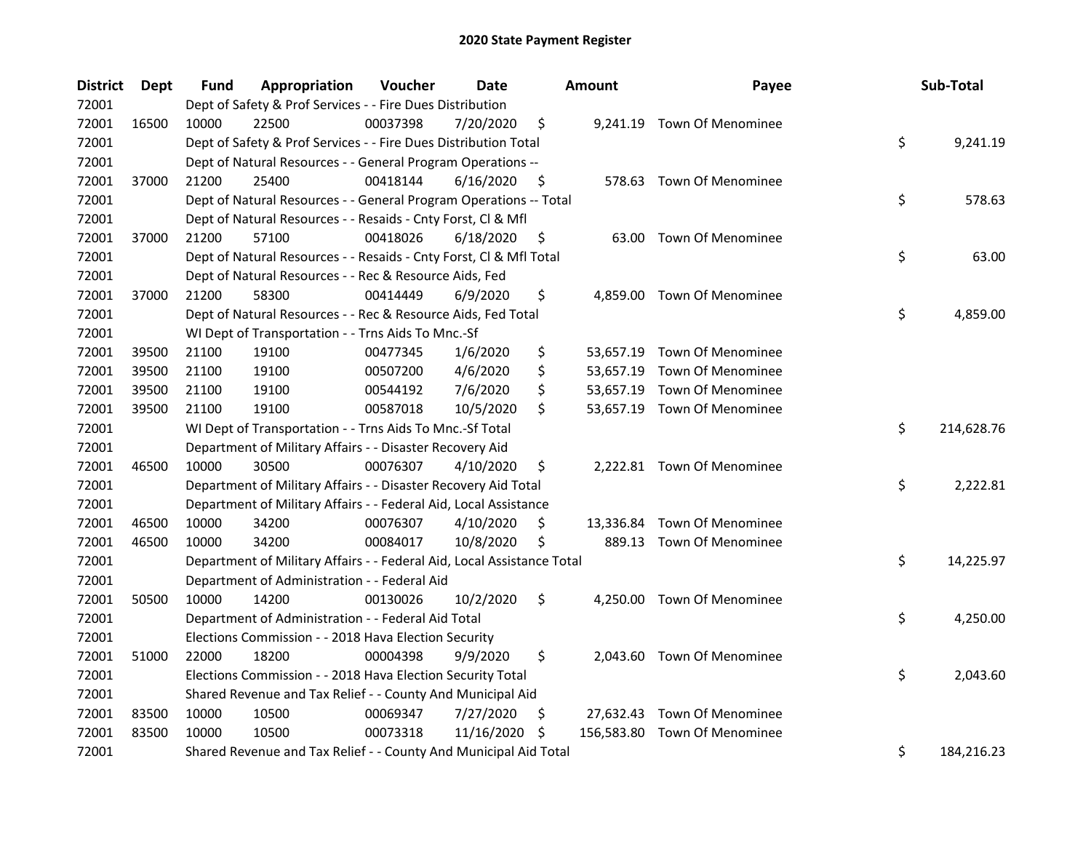| <b>District</b> | Dept  | Fund  | Appropriation                                                          | Voucher  | <b>Date</b> |     | <b>Amount</b> | Payee                       |    | Sub-Total  |
|-----------------|-------|-------|------------------------------------------------------------------------|----------|-------------|-----|---------------|-----------------------------|----|------------|
| 72001           |       |       | Dept of Safety & Prof Services - - Fire Dues Distribution              |          |             |     |               |                             |    |            |
| 72001           | 16500 | 10000 | 22500                                                                  | 00037398 | 7/20/2020   | \$  | 9,241.19      | <b>Town Of Menominee</b>    |    |            |
| 72001           |       |       | Dept of Safety & Prof Services - - Fire Dues Distribution Total        |          |             |     |               |                             | \$ | 9,241.19   |
| 72001           |       |       | Dept of Natural Resources - - General Program Operations --            |          |             |     |               |                             |    |            |
| 72001           | 37000 | 21200 | 25400                                                                  | 00418144 | 6/16/2020   | \$  |               | 578.63 Town Of Menominee    |    |            |
| 72001           |       |       | Dept of Natural Resources - - General Program Operations -- Total      |          |             |     |               |                             | \$ | 578.63     |
| 72001           |       |       | Dept of Natural Resources - - Resaids - Cnty Forst, Cl & Mfl           |          |             |     |               |                             |    |            |
| 72001           | 37000 | 21200 | 57100                                                                  | 00418026 | 6/18/2020   | \$  |               | 63.00 Town Of Menominee     |    |            |
| 72001           |       |       | Dept of Natural Resources - - Resaids - Cnty Forst, Cl & Mfl Total     |          |             |     |               |                             | \$ | 63.00      |
| 72001           |       |       | Dept of Natural Resources - - Rec & Resource Aids, Fed                 |          |             |     |               |                             |    |            |
| 72001           | 37000 | 21200 | 58300                                                                  | 00414449 | 6/9/2020    | \$  |               | 4,859.00 Town Of Menominee  |    |            |
| 72001           |       |       | Dept of Natural Resources - - Rec & Resource Aids, Fed Total           |          |             |     |               |                             | \$ | 4,859.00   |
| 72001           |       |       | WI Dept of Transportation - - Trns Aids To Mnc.-Sf                     |          |             |     |               |                             |    |            |
| 72001           | 39500 | 21100 | 19100                                                                  | 00477345 | 1/6/2020    | \$  |               | 53,657.19 Town Of Menominee |    |            |
| 72001           | 39500 | 21100 | 19100                                                                  | 00507200 | 4/6/2020    | \$  |               | 53,657.19 Town Of Menominee |    |            |
| 72001           | 39500 | 21100 | 19100                                                                  | 00544192 | 7/6/2020    | \$  |               | 53,657.19 Town Of Menominee |    |            |
| 72001           | 39500 | 21100 | 19100                                                                  | 00587018 | 10/5/2020   | \$  |               | 53,657.19 Town Of Menominee |    |            |
| 72001           |       |       | WI Dept of Transportation - - Trns Aids To Mnc.-Sf Total               |          |             |     |               |                             | \$ | 214,628.76 |
| 72001           |       |       | Department of Military Affairs - - Disaster Recovery Aid               |          |             |     |               |                             |    |            |
| 72001           | 46500 | 10000 | 30500                                                                  | 00076307 | 4/10/2020   | \$  |               | 2,222.81 Town Of Menominee  |    |            |
| 72001           |       |       | Department of Military Affairs - - Disaster Recovery Aid Total         |          |             |     |               |                             | \$ | 2,222.81   |
| 72001           |       |       | Department of Military Affairs - - Federal Aid, Local Assistance       |          |             |     |               |                             |    |            |
| 72001           | 46500 | 10000 | 34200                                                                  | 00076307 | 4/10/2020   | \$  |               | 13,336.84 Town Of Menominee |    |            |
| 72001           | 46500 | 10000 | 34200                                                                  | 00084017 | 10/8/2020   | \$  |               | 889.13 Town Of Menominee    |    |            |
| 72001           |       |       | Department of Military Affairs - - Federal Aid, Local Assistance Total |          |             |     |               |                             | \$ | 14,225.97  |
| 72001           |       |       | Department of Administration - - Federal Aid                           |          |             |     |               |                             |    |            |
| 72001           | 50500 | 10000 | 14200                                                                  | 00130026 | 10/2/2020   | \$  |               | 4,250.00 Town Of Menominee  |    |            |
| 72001           |       |       | Department of Administration - - Federal Aid Total                     |          |             |     |               |                             | \$ | 4,250.00   |
| 72001           |       |       | Elections Commission - - 2018 Hava Election Security                   |          |             |     |               |                             |    |            |
| 72001           | 51000 | 22000 | 18200                                                                  | 00004398 | 9/9/2020    | \$  |               | 2,043.60 Town Of Menominee  |    |            |
| 72001           |       |       | Elections Commission - - 2018 Hava Election Security Total             |          |             |     |               |                             | \$ | 2,043.60   |
| 72001           |       |       | Shared Revenue and Tax Relief - - County And Municipal Aid             |          |             |     |               |                             |    |            |
| 72001           | 83500 | 10000 | 10500                                                                  | 00069347 | 7/27/2020   | \$. |               | 27,632.43 Town Of Menominee |    |            |
| 72001           | 83500 | 10000 | 10500                                                                  | 00073318 | 11/16/2020  | \$, | 156,583.80    | Town Of Menominee           |    |            |
| 72001           |       |       | Shared Revenue and Tax Relief - - County And Municipal Aid Total       |          |             |     |               |                             | \$ | 184,216.23 |